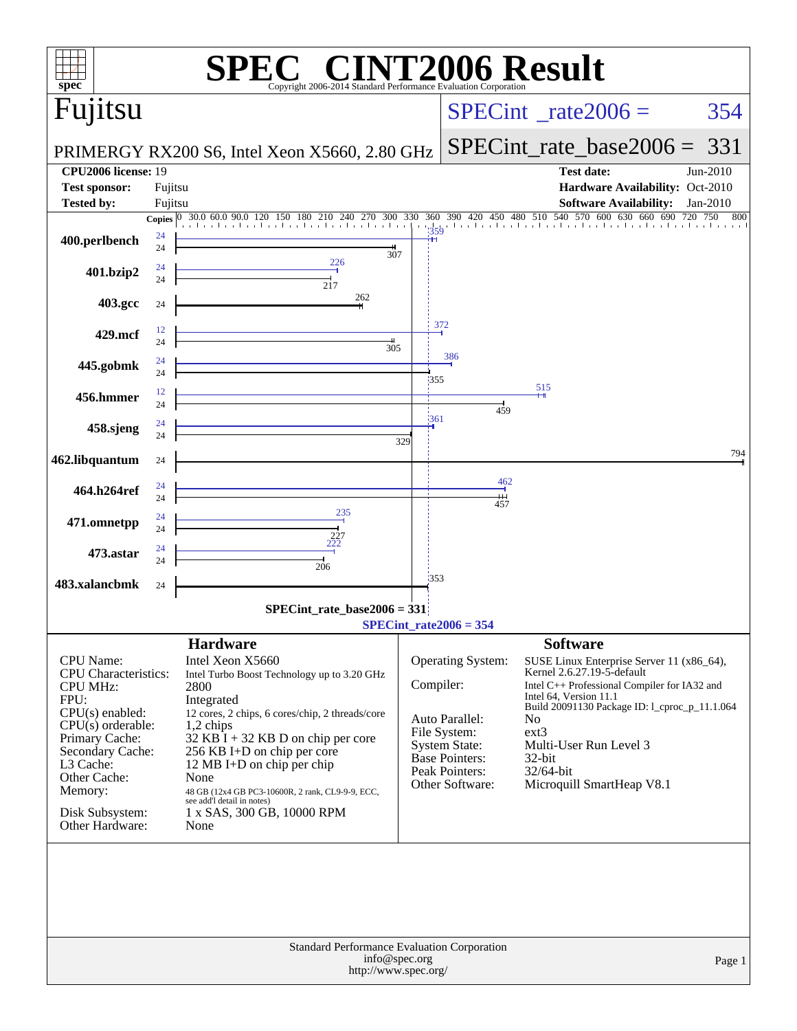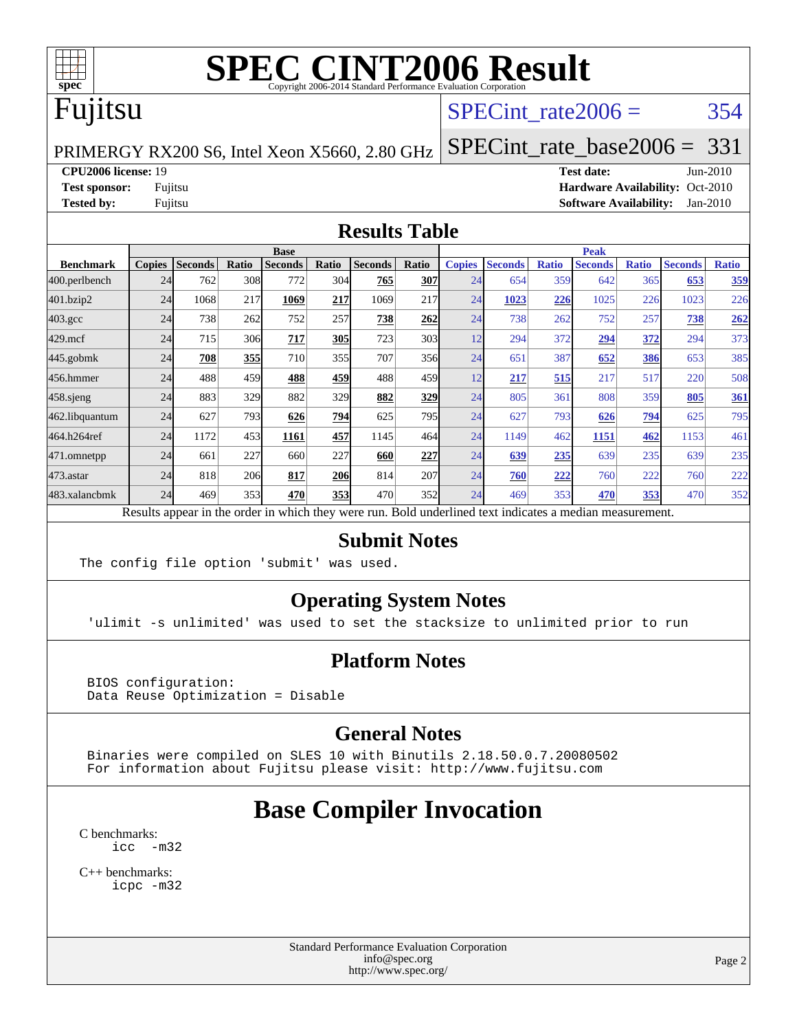

# Fujitsu

### SPECint rate $2006 = 354$

PRIMERGY RX200 S6, Intel Xeon X5660, 2.80 GHz

[SPECint\\_rate\\_base2006 =](http://www.spec.org/auto/cpu2006/Docs/result-fields.html#SPECintratebase2006) 331

**[CPU2006 license:](http://www.spec.org/auto/cpu2006/Docs/result-fields.html#CPU2006license)** 19 **[Test date:](http://www.spec.org/auto/cpu2006/Docs/result-fields.html#Testdate)** Jun-2010

**[Test sponsor:](http://www.spec.org/auto/cpu2006/Docs/result-fields.html#Testsponsor)** Fujitsu **[Hardware Availability:](http://www.spec.org/auto/cpu2006/Docs/result-fields.html#HardwareAvailability)** Oct-2010 **[Tested by:](http://www.spec.org/auto/cpu2006/Docs/result-fields.html#Testedby)** Fujitsu **[Software Availability:](http://www.spec.org/auto/cpu2006/Docs/result-fields.html#SoftwareAvailability)** Jan-2010

#### **[Results Table](http://www.spec.org/auto/cpu2006/Docs/result-fields.html#ResultsTable)**

|                    | <b>Base</b>   |                |              |                                                                                                          |       |                |       | <b>Peak</b>   |                |              |                |              |                |              |
|--------------------|---------------|----------------|--------------|----------------------------------------------------------------------------------------------------------|-------|----------------|-------|---------------|----------------|--------------|----------------|--------------|----------------|--------------|
| <b>Benchmark</b>   | <b>Copies</b> | <b>Seconds</b> | <b>Ratio</b> | <b>Seconds</b>                                                                                           | Ratio | <b>Seconds</b> | Ratio | <b>Copies</b> | <b>Seconds</b> | <b>Ratio</b> | <b>Seconds</b> | <b>Ratio</b> | <b>Seconds</b> | <b>Ratio</b> |
| 400.perlbench      | 24            | 762            | 308          | 772                                                                                                      | 304   | 765            | 307   | 24            | 654            | 359          | 642            | 365          | 653            | 359          |
| 401.bzip2          | 24            | 1068           | 217          | 1069                                                                                                     | 217   | 1069           | 217   | 24            | 1023           | 226          | 1025           | 226          | 1023           | 226          |
| $403.\mathrm{gcc}$ | 24            | 738            | 262          | 752                                                                                                      | 257   | 738            | 262   | 24            | 738            | 262          | 752            | 257          | 738            | 262          |
| 429.mcf            | 24            | 715            | 306          | 717                                                                                                      | 305   | 723            | 303   | 12            | 294            | 372          | 294            | 372          | 294            | 373          |
| $445$ .gobmk       | 24            | 708            | 355          | 710                                                                                                      | 355   | 707            | 356   | 24            | 651            | 387          | 652            | 386          | 653            | 385          |
| 456.hmmer          | 24            | 488            | 459          | 488                                                                                                      | 459   | 488            | 459   | 12            | 217            | 515          | 217            | 517          | 220            | 508          |
| $458$ .sjeng       | 24            | 883            | 329          | 882                                                                                                      | 329   | 882            | 329   | 24            | 805            | 361          | 808            | 359          | 805            | 361          |
| 462.libquantum     | 24            | 627            | 793          | 626                                                                                                      | 794   | 625            | 795   | 24            | 627            | 793          | 626            | <u>794</u>   | 625            | 795          |
| 464.h264ref        | 24            | 1172           | 453          | 1161                                                                                                     | 457   | 1145           | 464   | 24            | 1149           | 462          | 1151           | 462          | 1153           | 461          |
| 471.omnetpp        | 24            | 661            | 227          | 660                                                                                                      | 227   | 660            | 227   | 24            | 639            | 235          | 639            | 235          | 639            | 235          |
| 473.astar          | 24            | 818            | 206          | 817                                                                                                      | 206   | 814            | 207   | 24            | 760            | 222          | 760            | 222          | 760            | 222          |
| 483.xalancbmk      | 24            | 469            | 353          | 470                                                                                                      | 353   | 470            | 352   | 24            | 469            | 353          | 470            | 353          | 470            | 352          |
|                    |               |                |              | Results appear in the order in which they were run. Bold underlined text indicates a median measurement. |       |                |       |               |                |              |                |              |                |              |

#### **[Submit Notes](http://www.spec.org/auto/cpu2006/Docs/result-fields.html#SubmitNotes)**

The config file option 'submit' was used.

#### **[Operating System Notes](http://www.spec.org/auto/cpu2006/Docs/result-fields.html#OperatingSystemNotes)**

'ulimit -s unlimited' was used to set the stacksize to unlimited prior to run

#### **[Platform Notes](http://www.spec.org/auto/cpu2006/Docs/result-fields.html#PlatformNotes)**

 BIOS configuration: Data Reuse Optimization = Disable

#### **[General Notes](http://www.spec.org/auto/cpu2006/Docs/result-fields.html#GeneralNotes)**

 Binaries were compiled on SLES 10 with Binutils 2.18.50.0.7.20080502 For information about Fujitsu please visit: <http://www.fujitsu.com>

# **[Base Compiler Invocation](http://www.spec.org/auto/cpu2006/Docs/result-fields.html#BaseCompilerInvocation)**

[C benchmarks](http://www.spec.org/auto/cpu2006/Docs/result-fields.html#Cbenchmarks): [icc -m32](http://www.spec.org/cpu2006/results/res2010q3/cpu2006-20100706-12293.flags.html#user_CCbase_intel_icc_32bit_5ff4a39e364c98233615fdd38438c6f2)

[C++ benchmarks:](http://www.spec.org/auto/cpu2006/Docs/result-fields.html#CXXbenchmarks) [icpc -m32](http://www.spec.org/cpu2006/results/res2010q3/cpu2006-20100706-12293.flags.html#user_CXXbase_intel_icpc_32bit_4e5a5ef1a53fd332b3c49e69c3330699)

> Standard Performance Evaluation Corporation [info@spec.org](mailto:info@spec.org) <http://www.spec.org/>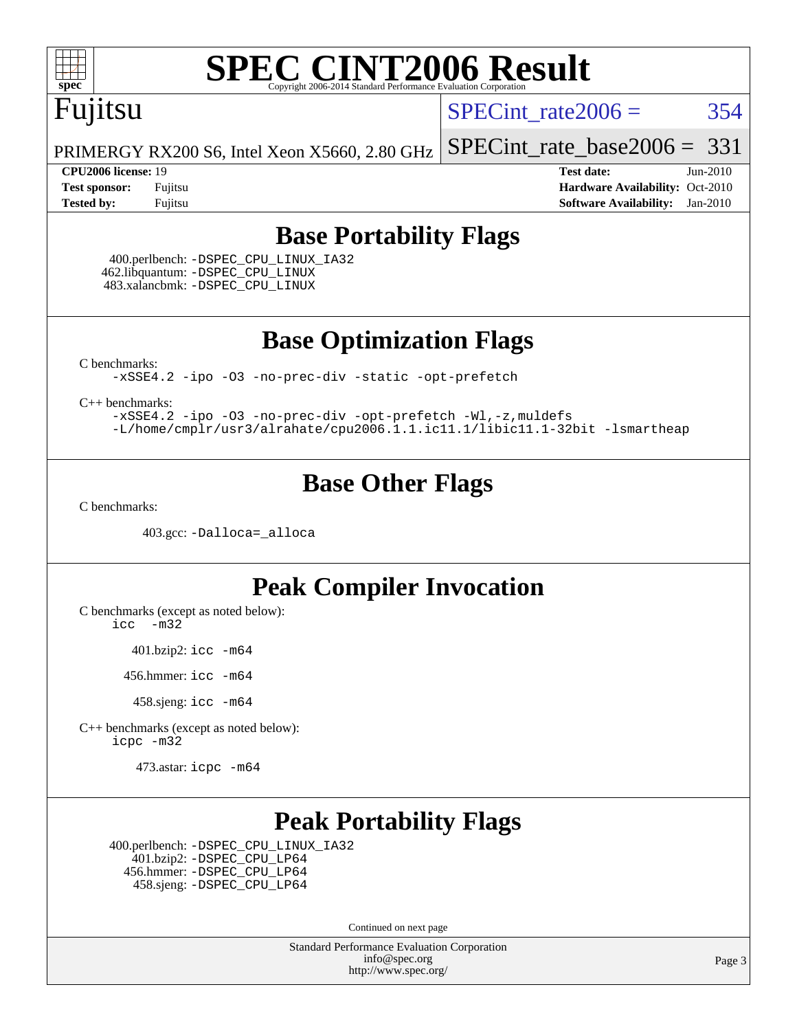

# Fujitsu

SPECint rate $2006 = 354$ 

[SPECint\\_rate\\_base2006 =](http://www.spec.org/auto/cpu2006/Docs/result-fields.html#SPECintratebase2006) 331

PRIMERGY RX200 S6, Intel Xeon X5660, 2.80 GHz

**[CPU2006 license:](http://www.spec.org/auto/cpu2006/Docs/result-fields.html#CPU2006license)** 19 **[Test date:](http://www.spec.org/auto/cpu2006/Docs/result-fields.html#Testdate)** Jun-2010 **[Test sponsor:](http://www.spec.org/auto/cpu2006/Docs/result-fields.html#Testsponsor)** Fujitsu **[Hardware Availability:](http://www.spec.org/auto/cpu2006/Docs/result-fields.html#HardwareAvailability)** Oct-2010 **[Tested by:](http://www.spec.org/auto/cpu2006/Docs/result-fields.html#Testedby)** Fujitsu **[Software Availability:](http://www.spec.org/auto/cpu2006/Docs/result-fields.html#SoftwareAvailability)** Jan-2010

### **[Base Portability Flags](http://www.spec.org/auto/cpu2006/Docs/result-fields.html#BasePortabilityFlags)**

 400.perlbench: [-DSPEC\\_CPU\\_LINUX\\_IA32](http://www.spec.org/cpu2006/results/res2010q3/cpu2006-20100706-12293.flags.html#b400.perlbench_baseCPORTABILITY_DSPEC_CPU_LINUX_IA32) 462.libquantum: [-DSPEC\\_CPU\\_LINUX](http://www.spec.org/cpu2006/results/res2010q3/cpu2006-20100706-12293.flags.html#b462.libquantum_baseCPORTABILITY_DSPEC_CPU_LINUX) 483.xalancbmk: [-DSPEC\\_CPU\\_LINUX](http://www.spec.org/cpu2006/results/res2010q3/cpu2006-20100706-12293.flags.html#b483.xalancbmk_baseCXXPORTABILITY_DSPEC_CPU_LINUX)

**[Base Optimization Flags](http://www.spec.org/auto/cpu2006/Docs/result-fields.html#BaseOptimizationFlags)**

[C benchmarks](http://www.spec.org/auto/cpu2006/Docs/result-fields.html#Cbenchmarks):

[-xSSE4.2](http://www.spec.org/cpu2006/results/res2010q3/cpu2006-20100706-12293.flags.html#user_CCbase_f-xSSE42_f91528193cf0b216347adb8b939d4107) [-ipo](http://www.spec.org/cpu2006/results/res2010q3/cpu2006-20100706-12293.flags.html#user_CCbase_f-ipo) [-O3](http://www.spec.org/cpu2006/results/res2010q3/cpu2006-20100706-12293.flags.html#user_CCbase_f-O3) [-no-prec-div](http://www.spec.org/cpu2006/results/res2010q3/cpu2006-20100706-12293.flags.html#user_CCbase_f-no-prec-div) [-static](http://www.spec.org/cpu2006/results/res2010q3/cpu2006-20100706-12293.flags.html#user_CCbase_f-static) [-opt-prefetch](http://www.spec.org/cpu2006/results/res2010q3/cpu2006-20100706-12293.flags.html#user_CCbase_f-opt-prefetch)

[C++ benchmarks:](http://www.spec.org/auto/cpu2006/Docs/result-fields.html#CXXbenchmarks)

[-xSSE4.2](http://www.spec.org/cpu2006/results/res2010q3/cpu2006-20100706-12293.flags.html#user_CXXbase_f-xSSE42_f91528193cf0b216347adb8b939d4107) [-ipo](http://www.spec.org/cpu2006/results/res2010q3/cpu2006-20100706-12293.flags.html#user_CXXbase_f-ipo) [-O3](http://www.spec.org/cpu2006/results/res2010q3/cpu2006-20100706-12293.flags.html#user_CXXbase_f-O3) [-no-prec-div](http://www.spec.org/cpu2006/results/res2010q3/cpu2006-20100706-12293.flags.html#user_CXXbase_f-no-prec-div) [-opt-prefetch](http://www.spec.org/cpu2006/results/res2010q3/cpu2006-20100706-12293.flags.html#user_CXXbase_f-opt-prefetch) [-Wl,-z,muldefs](http://www.spec.org/cpu2006/results/res2010q3/cpu2006-20100706-12293.flags.html#user_CXXbase_link_force_multiple1_74079c344b956b9658436fd1b6dd3a8a) [-L/home/cmplr/usr3/alrahate/cpu2006.1.1.ic11.1/libic11.1-32bit -lsmartheap](http://www.spec.org/cpu2006/results/res2010q3/cpu2006-20100706-12293.flags.html#user_CXXbase_SmartHeap_d86dffe4a79b79ef8890d5cce17030c3)

### **[Base Other Flags](http://www.spec.org/auto/cpu2006/Docs/result-fields.html#BaseOtherFlags)**

[C benchmarks](http://www.spec.org/auto/cpu2006/Docs/result-fields.html#Cbenchmarks):

403.gcc: [-Dalloca=\\_alloca](http://www.spec.org/cpu2006/results/res2010q3/cpu2006-20100706-12293.flags.html#b403.gcc_baseEXTRA_CFLAGS_Dalloca_be3056838c12de2578596ca5467af7f3)

### **[Peak Compiler Invocation](http://www.spec.org/auto/cpu2006/Docs/result-fields.html#PeakCompilerInvocation)**

[C benchmarks \(except as noted below\)](http://www.spec.org/auto/cpu2006/Docs/result-fields.html#Cbenchmarksexceptasnotedbelow):

[icc -m32](http://www.spec.org/cpu2006/results/res2010q3/cpu2006-20100706-12293.flags.html#user_CCpeak_intel_icc_32bit_5ff4a39e364c98233615fdd38438c6f2)

401.bzip2: [icc -m64](http://www.spec.org/cpu2006/results/res2010q3/cpu2006-20100706-12293.flags.html#user_peakCCLD401_bzip2_intel_icc_64bit_bda6cc9af1fdbb0edc3795bac97ada53)

456.hmmer: [icc -m64](http://www.spec.org/cpu2006/results/res2010q3/cpu2006-20100706-12293.flags.html#user_peakCCLD456_hmmer_intel_icc_64bit_bda6cc9af1fdbb0edc3795bac97ada53)

458.sjeng: [icc -m64](http://www.spec.org/cpu2006/results/res2010q3/cpu2006-20100706-12293.flags.html#user_peakCCLD458_sjeng_intel_icc_64bit_bda6cc9af1fdbb0edc3795bac97ada53)

[C++ benchmarks \(except as noted below\):](http://www.spec.org/auto/cpu2006/Docs/result-fields.html#CXXbenchmarksexceptasnotedbelow) [icpc -m32](http://www.spec.org/cpu2006/results/res2010q3/cpu2006-20100706-12293.flags.html#user_CXXpeak_intel_icpc_32bit_4e5a5ef1a53fd332b3c49e69c3330699)

473.astar: [icpc -m64](http://www.spec.org/cpu2006/results/res2010q3/cpu2006-20100706-12293.flags.html#user_peakCXXLD473_astar_intel_icpc_64bit_fc66a5337ce925472a5c54ad6a0de310)

## **[Peak Portability Flags](http://www.spec.org/auto/cpu2006/Docs/result-fields.html#PeakPortabilityFlags)**

 400.perlbench: [-DSPEC\\_CPU\\_LINUX\\_IA32](http://www.spec.org/cpu2006/results/res2010q3/cpu2006-20100706-12293.flags.html#b400.perlbench_peakCPORTABILITY_DSPEC_CPU_LINUX_IA32) 401.bzip2: [-DSPEC\\_CPU\\_LP64](http://www.spec.org/cpu2006/results/res2010q3/cpu2006-20100706-12293.flags.html#suite_peakCPORTABILITY401_bzip2_DSPEC_CPU_LP64) 456.hmmer: [-DSPEC\\_CPU\\_LP64](http://www.spec.org/cpu2006/results/res2010q3/cpu2006-20100706-12293.flags.html#suite_peakCPORTABILITY456_hmmer_DSPEC_CPU_LP64) 458.sjeng: [-DSPEC\\_CPU\\_LP64](http://www.spec.org/cpu2006/results/res2010q3/cpu2006-20100706-12293.flags.html#suite_peakCPORTABILITY458_sjeng_DSPEC_CPU_LP64)

Continued on next page

Standard Performance Evaluation Corporation [info@spec.org](mailto:info@spec.org) <http://www.spec.org/>

Page 3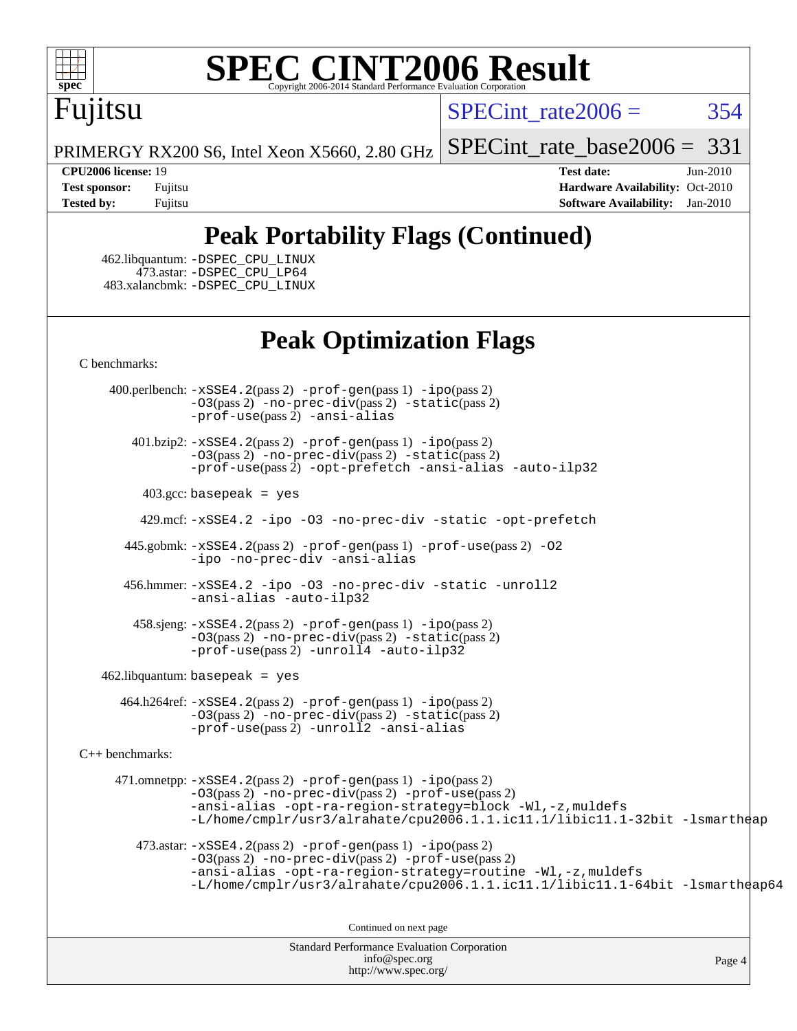

# Fujitsu

 $SPECint rate2006 = 354$ 

[SPECint\\_rate\\_base2006 =](http://www.spec.org/auto/cpu2006/Docs/result-fields.html#SPECintratebase2006) 331

PRIMERGY RX200 S6, Intel Xeon X5660, 2.80 GHz

**[CPU2006 license:](http://www.spec.org/auto/cpu2006/Docs/result-fields.html#CPU2006license)** 19 **[Test date:](http://www.spec.org/auto/cpu2006/Docs/result-fields.html#Testdate)** Jun-2010 **[Test sponsor:](http://www.spec.org/auto/cpu2006/Docs/result-fields.html#Testsponsor)** Fujitsu **[Hardware Availability:](http://www.spec.org/auto/cpu2006/Docs/result-fields.html#HardwareAvailability)** Oct-2010 **[Tested by:](http://www.spec.org/auto/cpu2006/Docs/result-fields.html#Testedby)** Fujitsu **[Software Availability:](http://www.spec.org/auto/cpu2006/Docs/result-fields.html#SoftwareAvailability)** Jan-2010

## **[Peak Portability Flags \(Continued\)](http://www.spec.org/auto/cpu2006/Docs/result-fields.html#PeakPortabilityFlags)**

 462.libquantum: [-DSPEC\\_CPU\\_LINUX](http://www.spec.org/cpu2006/results/res2010q3/cpu2006-20100706-12293.flags.html#b462.libquantum_peakCPORTABILITY_DSPEC_CPU_LINUX) 473.astar: [-DSPEC\\_CPU\\_LP64](http://www.spec.org/cpu2006/results/res2010q3/cpu2006-20100706-12293.flags.html#suite_peakCXXPORTABILITY473_astar_DSPEC_CPU_LP64) 483.xalancbmk: [-DSPEC\\_CPU\\_LINUX](http://www.spec.org/cpu2006/results/res2010q3/cpu2006-20100706-12293.flags.html#b483.xalancbmk_peakCXXPORTABILITY_DSPEC_CPU_LINUX)

## **[Peak Optimization Flags](http://www.spec.org/auto/cpu2006/Docs/result-fields.html#PeakOptimizationFlags)**

[C benchmarks](http://www.spec.org/auto/cpu2006/Docs/result-fields.html#Cbenchmarks):

 400.perlbench: [-xSSE4.2](http://www.spec.org/cpu2006/results/res2010q3/cpu2006-20100706-12293.flags.html#user_peakPASS2_CFLAGSPASS2_LDCFLAGS400_perlbench_f-xSSE42_f91528193cf0b216347adb8b939d4107)(pass 2) [-prof-gen](http://www.spec.org/cpu2006/results/res2010q3/cpu2006-20100706-12293.flags.html#user_peakPASS1_CFLAGSPASS1_LDCFLAGS400_perlbench_prof_gen_e43856698f6ca7b7e442dfd80e94a8fc)(pass 1) [-ipo](http://www.spec.org/cpu2006/results/res2010q3/cpu2006-20100706-12293.flags.html#user_peakPASS2_CFLAGSPASS2_LDCFLAGS400_perlbench_f-ipo)(pass 2) [-O3](http://www.spec.org/cpu2006/results/res2010q3/cpu2006-20100706-12293.flags.html#user_peakPASS2_CFLAGSPASS2_LDCFLAGS400_perlbench_f-O3)(pass 2) [-no-prec-div](http://www.spec.org/cpu2006/results/res2010q3/cpu2006-20100706-12293.flags.html#user_peakPASS2_CFLAGSPASS2_LDCFLAGS400_perlbench_f-no-prec-div)(pass 2) [-static](http://www.spec.org/cpu2006/results/res2010q3/cpu2006-20100706-12293.flags.html#user_peakPASS2_CFLAGSPASS2_LDCFLAGS400_perlbench_f-static)(pass 2) [-prof-use](http://www.spec.org/cpu2006/results/res2010q3/cpu2006-20100706-12293.flags.html#user_peakPASS2_CFLAGSPASS2_LDCFLAGS400_perlbench_prof_use_bccf7792157ff70d64e32fe3e1250b55)(pass 2) [-ansi-alias](http://www.spec.org/cpu2006/results/res2010q3/cpu2006-20100706-12293.flags.html#user_peakCOPTIMIZE400_perlbench_f-ansi-alias)

 401.bzip2: [-xSSE4.2](http://www.spec.org/cpu2006/results/res2010q3/cpu2006-20100706-12293.flags.html#user_peakPASS2_CFLAGSPASS2_LDCFLAGS401_bzip2_f-xSSE42_f91528193cf0b216347adb8b939d4107)(pass 2) [-prof-gen](http://www.spec.org/cpu2006/results/res2010q3/cpu2006-20100706-12293.flags.html#user_peakPASS1_CFLAGSPASS1_LDCFLAGS401_bzip2_prof_gen_e43856698f6ca7b7e442dfd80e94a8fc)(pass 1) [-ipo](http://www.spec.org/cpu2006/results/res2010q3/cpu2006-20100706-12293.flags.html#user_peakPASS2_CFLAGSPASS2_LDCFLAGS401_bzip2_f-ipo)(pass 2) [-O3](http://www.spec.org/cpu2006/results/res2010q3/cpu2006-20100706-12293.flags.html#user_peakPASS2_CFLAGSPASS2_LDCFLAGS401_bzip2_f-O3)(pass 2) [-no-prec-div](http://www.spec.org/cpu2006/results/res2010q3/cpu2006-20100706-12293.flags.html#user_peakPASS2_CFLAGSPASS2_LDCFLAGS401_bzip2_f-no-prec-div)(pass 2) [-static](http://www.spec.org/cpu2006/results/res2010q3/cpu2006-20100706-12293.flags.html#user_peakPASS2_CFLAGSPASS2_LDCFLAGS401_bzip2_f-static)(pass 2) [-prof-use](http://www.spec.org/cpu2006/results/res2010q3/cpu2006-20100706-12293.flags.html#user_peakPASS2_CFLAGSPASS2_LDCFLAGS401_bzip2_prof_use_bccf7792157ff70d64e32fe3e1250b55)(pass 2) [-opt-prefetch](http://www.spec.org/cpu2006/results/res2010q3/cpu2006-20100706-12293.flags.html#user_peakCOPTIMIZE401_bzip2_f-opt-prefetch) [-ansi-alias](http://www.spec.org/cpu2006/results/res2010q3/cpu2006-20100706-12293.flags.html#user_peakCOPTIMIZE401_bzip2_f-ansi-alias) [-auto-ilp32](http://www.spec.org/cpu2006/results/res2010q3/cpu2006-20100706-12293.flags.html#user_peakCOPTIMIZE401_bzip2_f-auto-ilp32)

 $403.\text{gcc: basepeak}$  = yes

429.mcf: [-xSSE4.2](http://www.spec.org/cpu2006/results/res2010q3/cpu2006-20100706-12293.flags.html#user_peakCOPTIMIZE429_mcf_f-xSSE42_f91528193cf0b216347adb8b939d4107) [-ipo](http://www.spec.org/cpu2006/results/res2010q3/cpu2006-20100706-12293.flags.html#user_peakCOPTIMIZE429_mcf_f-ipo) [-O3](http://www.spec.org/cpu2006/results/res2010q3/cpu2006-20100706-12293.flags.html#user_peakCOPTIMIZE429_mcf_f-O3) [-no-prec-div](http://www.spec.org/cpu2006/results/res2010q3/cpu2006-20100706-12293.flags.html#user_peakCOPTIMIZE429_mcf_f-no-prec-div) [-static](http://www.spec.org/cpu2006/results/res2010q3/cpu2006-20100706-12293.flags.html#user_peakCOPTIMIZE429_mcf_f-static) [-opt-prefetch](http://www.spec.org/cpu2006/results/res2010q3/cpu2006-20100706-12293.flags.html#user_peakCOPTIMIZE429_mcf_f-opt-prefetch)

 445.gobmk: [-xSSE4.2](http://www.spec.org/cpu2006/results/res2010q3/cpu2006-20100706-12293.flags.html#user_peakPASS2_CFLAGSPASS2_LDCFLAGS445_gobmk_f-xSSE42_f91528193cf0b216347adb8b939d4107)(pass 2) [-prof-gen](http://www.spec.org/cpu2006/results/res2010q3/cpu2006-20100706-12293.flags.html#user_peakPASS1_CFLAGSPASS1_LDCFLAGS445_gobmk_prof_gen_e43856698f6ca7b7e442dfd80e94a8fc)(pass 1) [-prof-use](http://www.spec.org/cpu2006/results/res2010q3/cpu2006-20100706-12293.flags.html#user_peakPASS2_CFLAGSPASS2_LDCFLAGS445_gobmk_prof_use_bccf7792157ff70d64e32fe3e1250b55)(pass 2) [-O2](http://www.spec.org/cpu2006/results/res2010q3/cpu2006-20100706-12293.flags.html#user_peakCOPTIMIZE445_gobmk_f-O2) [-ipo](http://www.spec.org/cpu2006/results/res2010q3/cpu2006-20100706-12293.flags.html#user_peakCOPTIMIZE445_gobmk_f-ipo) [-no-prec-div](http://www.spec.org/cpu2006/results/res2010q3/cpu2006-20100706-12293.flags.html#user_peakCOPTIMIZE445_gobmk_f-no-prec-div) [-ansi-alias](http://www.spec.org/cpu2006/results/res2010q3/cpu2006-20100706-12293.flags.html#user_peakCOPTIMIZE445_gobmk_f-ansi-alias)

 456.hmmer: [-xSSE4.2](http://www.spec.org/cpu2006/results/res2010q3/cpu2006-20100706-12293.flags.html#user_peakCOPTIMIZE456_hmmer_f-xSSE42_f91528193cf0b216347adb8b939d4107) [-ipo](http://www.spec.org/cpu2006/results/res2010q3/cpu2006-20100706-12293.flags.html#user_peakCOPTIMIZE456_hmmer_f-ipo) [-O3](http://www.spec.org/cpu2006/results/res2010q3/cpu2006-20100706-12293.flags.html#user_peakCOPTIMIZE456_hmmer_f-O3) [-no-prec-div](http://www.spec.org/cpu2006/results/res2010q3/cpu2006-20100706-12293.flags.html#user_peakCOPTIMIZE456_hmmer_f-no-prec-div) [-static](http://www.spec.org/cpu2006/results/res2010q3/cpu2006-20100706-12293.flags.html#user_peakCOPTIMIZE456_hmmer_f-static) [-unroll2](http://www.spec.org/cpu2006/results/res2010q3/cpu2006-20100706-12293.flags.html#user_peakCOPTIMIZE456_hmmer_f-unroll_784dae83bebfb236979b41d2422d7ec2) [-ansi-alias](http://www.spec.org/cpu2006/results/res2010q3/cpu2006-20100706-12293.flags.html#user_peakCOPTIMIZE456_hmmer_f-ansi-alias) [-auto-ilp32](http://www.spec.org/cpu2006/results/res2010q3/cpu2006-20100706-12293.flags.html#user_peakCOPTIMIZE456_hmmer_f-auto-ilp32)

 458.sjeng: [-xSSE4.2](http://www.spec.org/cpu2006/results/res2010q3/cpu2006-20100706-12293.flags.html#user_peakPASS2_CFLAGSPASS2_LDCFLAGS458_sjeng_f-xSSE42_f91528193cf0b216347adb8b939d4107)(pass 2) [-prof-gen](http://www.spec.org/cpu2006/results/res2010q3/cpu2006-20100706-12293.flags.html#user_peakPASS1_CFLAGSPASS1_LDCFLAGS458_sjeng_prof_gen_e43856698f6ca7b7e442dfd80e94a8fc)(pass 1) [-ipo](http://www.spec.org/cpu2006/results/res2010q3/cpu2006-20100706-12293.flags.html#user_peakPASS2_CFLAGSPASS2_LDCFLAGS458_sjeng_f-ipo)(pass 2) [-O3](http://www.spec.org/cpu2006/results/res2010q3/cpu2006-20100706-12293.flags.html#user_peakPASS2_CFLAGSPASS2_LDCFLAGS458_sjeng_f-O3)(pass 2) [-no-prec-div](http://www.spec.org/cpu2006/results/res2010q3/cpu2006-20100706-12293.flags.html#user_peakPASS2_CFLAGSPASS2_LDCFLAGS458_sjeng_f-no-prec-div)(pass 2) [-static](http://www.spec.org/cpu2006/results/res2010q3/cpu2006-20100706-12293.flags.html#user_peakPASS2_CFLAGSPASS2_LDCFLAGS458_sjeng_f-static)(pass 2)  $-prof-use(pass 2) -unroll4 -auto-ilp32$  $-prof-use(pass 2) -unroll4 -auto-ilp32$  $-prof-use(pass 2) -unroll4 -auto-ilp32$  $-prof-use(pass 2) -unroll4 -auto-ilp32$  $-prof-use(pass 2) -unroll4 -auto-ilp32$ 

462.libquantum: basepeak = yes

 464.h264ref: [-xSSE4.2](http://www.spec.org/cpu2006/results/res2010q3/cpu2006-20100706-12293.flags.html#user_peakPASS2_CFLAGSPASS2_LDCFLAGS464_h264ref_f-xSSE42_f91528193cf0b216347adb8b939d4107)(pass 2) [-prof-gen](http://www.spec.org/cpu2006/results/res2010q3/cpu2006-20100706-12293.flags.html#user_peakPASS1_CFLAGSPASS1_LDCFLAGS464_h264ref_prof_gen_e43856698f6ca7b7e442dfd80e94a8fc)(pass 1) [-ipo](http://www.spec.org/cpu2006/results/res2010q3/cpu2006-20100706-12293.flags.html#user_peakPASS2_CFLAGSPASS2_LDCFLAGS464_h264ref_f-ipo)(pass 2) [-O3](http://www.spec.org/cpu2006/results/res2010q3/cpu2006-20100706-12293.flags.html#user_peakPASS2_CFLAGSPASS2_LDCFLAGS464_h264ref_f-O3)(pass 2) [-no-prec-div](http://www.spec.org/cpu2006/results/res2010q3/cpu2006-20100706-12293.flags.html#user_peakPASS2_CFLAGSPASS2_LDCFLAGS464_h264ref_f-no-prec-div)(pass 2) [-static](http://www.spec.org/cpu2006/results/res2010q3/cpu2006-20100706-12293.flags.html#user_peakPASS2_CFLAGSPASS2_LDCFLAGS464_h264ref_f-static)(pass 2) [-prof-use](http://www.spec.org/cpu2006/results/res2010q3/cpu2006-20100706-12293.flags.html#user_peakPASS2_CFLAGSPASS2_LDCFLAGS464_h264ref_prof_use_bccf7792157ff70d64e32fe3e1250b55)(pass 2) [-unroll2](http://www.spec.org/cpu2006/results/res2010q3/cpu2006-20100706-12293.flags.html#user_peakCOPTIMIZE464_h264ref_f-unroll_784dae83bebfb236979b41d2422d7ec2) [-ansi-alias](http://www.spec.org/cpu2006/results/res2010q3/cpu2006-20100706-12293.flags.html#user_peakCOPTIMIZE464_h264ref_f-ansi-alias)

[C++ benchmarks:](http://www.spec.org/auto/cpu2006/Docs/result-fields.html#CXXbenchmarks)

 471.omnetpp: [-xSSE4.2](http://www.spec.org/cpu2006/results/res2010q3/cpu2006-20100706-12293.flags.html#user_peakPASS2_CXXFLAGSPASS2_LDCXXFLAGS471_omnetpp_f-xSSE42_f91528193cf0b216347adb8b939d4107)(pass 2) [-prof-gen](http://www.spec.org/cpu2006/results/res2010q3/cpu2006-20100706-12293.flags.html#user_peakPASS1_CXXFLAGSPASS1_LDCXXFLAGS471_omnetpp_prof_gen_e43856698f6ca7b7e442dfd80e94a8fc)(pass 1) [-ipo](http://www.spec.org/cpu2006/results/res2010q3/cpu2006-20100706-12293.flags.html#user_peakPASS2_CXXFLAGSPASS2_LDCXXFLAGS471_omnetpp_f-ipo)(pass 2) [-O3](http://www.spec.org/cpu2006/results/res2010q3/cpu2006-20100706-12293.flags.html#user_peakPASS2_CXXFLAGSPASS2_LDCXXFLAGS471_omnetpp_f-O3)(pass 2) [-no-prec-div](http://www.spec.org/cpu2006/results/res2010q3/cpu2006-20100706-12293.flags.html#user_peakPASS2_CXXFLAGSPASS2_LDCXXFLAGS471_omnetpp_f-no-prec-div)(pass 2) [-prof-use](http://www.spec.org/cpu2006/results/res2010q3/cpu2006-20100706-12293.flags.html#user_peakPASS2_CXXFLAGSPASS2_LDCXXFLAGS471_omnetpp_prof_use_bccf7792157ff70d64e32fe3e1250b55)(pass 2) [-ansi-alias](http://www.spec.org/cpu2006/results/res2010q3/cpu2006-20100706-12293.flags.html#user_peakCXXOPTIMIZE471_omnetpp_f-ansi-alias) [-opt-ra-region-strategy=block](http://www.spec.org/cpu2006/results/res2010q3/cpu2006-20100706-12293.flags.html#user_peakCXXOPTIMIZE471_omnetpp_f-opt-ra-region-strategy-block_a0a37c372d03933b2a18d4af463c1f69) [-Wl,-z,muldefs](http://www.spec.org/cpu2006/results/res2010q3/cpu2006-20100706-12293.flags.html#user_peakEXTRA_LDFLAGS471_omnetpp_link_force_multiple1_74079c344b956b9658436fd1b6dd3a8a) [-L/home/cmplr/usr3/alrahate/cpu2006.1.1.ic11.1/libic11.1-32bit -lsmartheap](http://www.spec.org/cpu2006/results/res2010q3/cpu2006-20100706-12293.flags.html#user_peakEXTRA_LIBS471_omnetpp_SmartHeap_d86dffe4a79b79ef8890d5cce17030c3)

473.astar:  $-xSSE4$ . 2(pass 2)  $-prof-gen(pass 1) -ipo(pass 2)$  $-prof-gen(pass 1) -ipo(pass 2)$  $-prof-gen(pass 1) -ipo(pass 2)$  $-prof-gen(pass 1) -ipo(pass 2)$ [-O3](http://www.spec.org/cpu2006/results/res2010q3/cpu2006-20100706-12293.flags.html#user_peakPASS2_CXXFLAGSPASS2_LDCXXFLAGS473_astar_f-O3)(pass 2) [-no-prec-div](http://www.spec.org/cpu2006/results/res2010q3/cpu2006-20100706-12293.flags.html#user_peakPASS2_CXXFLAGSPASS2_LDCXXFLAGS473_astar_f-no-prec-div)(pass 2) [-prof-use](http://www.spec.org/cpu2006/results/res2010q3/cpu2006-20100706-12293.flags.html#user_peakPASS2_CXXFLAGSPASS2_LDCXXFLAGS473_astar_prof_use_bccf7792157ff70d64e32fe3e1250b55)(pass 2) [-ansi-alias](http://www.spec.org/cpu2006/results/res2010q3/cpu2006-20100706-12293.flags.html#user_peakCXXOPTIMIZE473_astar_f-ansi-alias) [-opt-ra-region-strategy=routine](http://www.spec.org/cpu2006/results/res2010q3/cpu2006-20100706-12293.flags.html#user_peakCXXOPTIMIZE473_astar_f-opt-ra-region-strategy-routine_ba086ea3b1d46a52e1238e2ca173ed44) [-Wl,-z,muldefs](http://www.spec.org/cpu2006/results/res2010q3/cpu2006-20100706-12293.flags.html#user_peakEXTRA_LDFLAGS473_astar_link_force_multiple1_74079c344b956b9658436fd1b6dd3a8a) [-L/home/cmplr/usr3/alrahate/cpu2006.1.1.ic11.1/libic11.1-64bit -lsmartheap64](http://www.spec.org/cpu2006/results/res2010q3/cpu2006-20100706-12293.flags.html#user_peakEXTRA_LIBS473_astar_SmartHeap64_e2306cda84805d1ab360117a79ff779c)

Continued on next page

Standard Performance Evaluation Corporation [info@spec.org](mailto:info@spec.org) <http://www.spec.org/>

Page 4